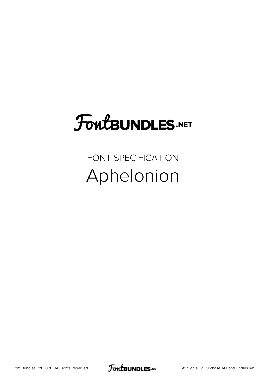### **FoutBUNDLES.NET**

FONT SPECIFICATION Aphelonion

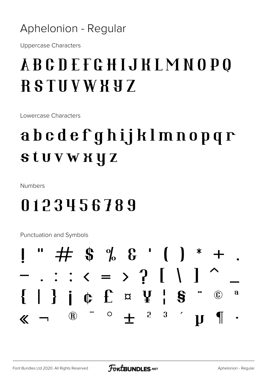#### Aphelonion - Regular

**Uppercase Characters** 

#### **ABCDEFGHIJKLMNOPO RSTUVWXYZ**

Lowercase Characters

#### abcdefghijklmnopqr **stuvwxyz**

Numbers

#### 0123456789

**Punctuation and Symbols** 

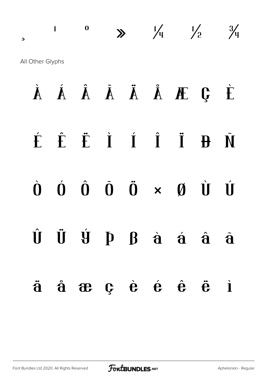$\frac{1}{2}$  0  $\frac{1}{4}$   $\frac{1}{2}$   $\frac{3}{4}$ All Other Glyphs

# À Á Â Ã Ä Å Æ Ç È É Ê Ë Ì Í Î Ï Ð Ñ  $\dot{0}$   $\dot{0}$   $\dot{0}$   $\ddot{0}$   $\ddot{0}$   $\times$   $\dot{0}$   $\dot{0}$   $\dot{0}$ Û Ü Ý Þ ß à á â ã ä å æ ç è é ê ë ì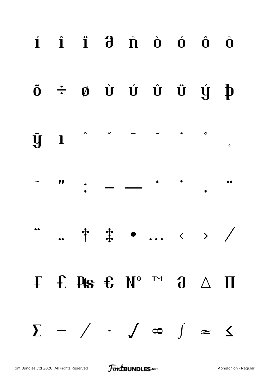